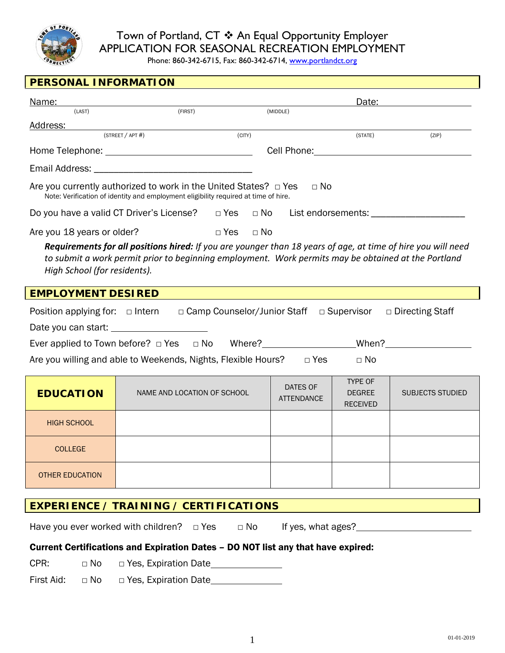

# Town of Portland, CT  $*$  An Equal Opportunity Employer APPLICATION FOR SEASONAL RECREATION EMPLOYMENT

Phone: 860-342-6715, Fax: 860-342-6714, [www.portlandct.org](http://www.portlandct.org/)

| PERSONAL INFORMATION                                                                                                                                                                                                                                |                                                                                                                                                                                                                                |                               |                                                    |                         |  |
|-----------------------------------------------------------------------------------------------------------------------------------------------------------------------------------------------------------------------------------------------------|--------------------------------------------------------------------------------------------------------------------------------------------------------------------------------------------------------------------------------|-------------------------------|----------------------------------------------------|-------------------------|--|
| <u>Name:</u>                                                                                                                                                                                                                                        |                                                                                                                                                                                                                                |                               | Date:                                              |                         |  |
| (LAST)                                                                                                                                                                                                                                              | (FIRST)                                                                                                                                                                                                                        | (MIDDLE)                      |                                                    |                         |  |
| Address:                                                                                                                                                                                                                                            | (STREET / APT #)<br>(CITY)                                                                                                                                                                                                     |                               | (STATE)                                            | (ZIP)                   |  |
|                                                                                                                                                                                                                                                     |                                                                                                                                                                                                                                |                               |                                                    |                         |  |
|                                                                                                                                                                                                                                                     |                                                                                                                                                                                                                                |                               |                                                    |                         |  |
|                                                                                                                                                                                                                                                     | Email Address: The Contract of the Contract of the Contract of the Contract of the Contract of the Contract of the Contract of the Contract of the Contract of the Contract of the Contract of the Contract of the Contract of |                               |                                                    |                         |  |
|                                                                                                                                                                                                                                                     | Are you currently authorized to work in the United States? $\Box$ Yes<br>$\Box$ No<br>Note: Verification of identity and employment eligibility required at time of hire.                                                      |                               |                                                    |                         |  |
|                                                                                                                                                                                                                                                     | Do you have a valid CT Driver's License?  □ Yes □ No List endorsements: ___________________________                                                                                                                            |                               |                                                    |                         |  |
| Are you 18 years or older?                                                                                                                                                                                                                          | $\Box$ Yes $\Box$ No                                                                                                                                                                                                           |                               |                                                    |                         |  |
| Requirements for all positions hired: If you are younger than 18 years of age, at time of hire you will need<br>to submit a work permit prior to beginning employment. Work permits may be obtained at the Portland<br>High School (for residents). |                                                                                                                                                                                                                                |                               |                                                    |                         |  |
| <b>EMPLOYMENT DESIRED</b>                                                                                                                                                                                                                           |                                                                                                                                                                                                                                |                               |                                                    |                         |  |
|                                                                                                                                                                                                                                                     | Position applying for: $\Box$ Intern $\Box$ Camp Counselor/Junior Staff $\Box$ Supervisor                                                                                                                                      |                               |                                                    | $\Box$ Directing Staff  |  |
|                                                                                                                                                                                                                                                     |                                                                                                                                                                                                                                |                               |                                                    |                         |  |
|                                                                                                                                                                                                                                                     |                                                                                                                                                                                                                                |                               |                                                    |                         |  |
| Are you willing and able to Weekends, Nights, Flexible Hours? □ Yes<br>$\Box$ No                                                                                                                                                                    |                                                                                                                                                                                                                                |                               |                                                    |                         |  |
| <b>EDUCATION</b>                                                                                                                                                                                                                                    | NAME AND LOCATION OF SCHOOL                                                                                                                                                                                                    | DATES OF<br><b>ATTENDANCE</b> | <b>TYPE OF</b><br><b>DEGREE</b><br><b>RECEIVED</b> | <b>SUBJECTS STUDIED</b> |  |
| <b>HIGH SCHOOL</b>                                                                                                                                                                                                                                  |                                                                                                                                                                                                                                |                               |                                                    |                         |  |
| <b>COLLEGE</b>                                                                                                                                                                                                                                      |                                                                                                                                                                                                                                |                               |                                                    |                         |  |
| <b>OTHER EDUCATION</b>                                                                                                                                                                                                                              |                                                                                                                                                                                                                                |                               |                                                    |                         |  |
| <b>EXPERIENCE / TRAINING / CERTIFICATIONS</b>                                                                                                                                                                                                       |                                                                                                                                                                                                                                |                               |                                                    |                         |  |
| Have you ever worked with children? $\Box$ Yes<br>$\Box$ No<br>If yes, what ages?                                                                                                                                                                   |                                                                                                                                                                                                                                |                               |                                                    |                         |  |
| Current Certifications and Expiration Dates - DO NOT list any that have expired:                                                                                                                                                                    |                                                                                                                                                                                                                                |                               |                                                    |                         |  |

CPR: □ No □ Yes, Expiration Date

First Aid: □ No □ Yes, Expiration Date\_\_\_\_\_\_\_\_\_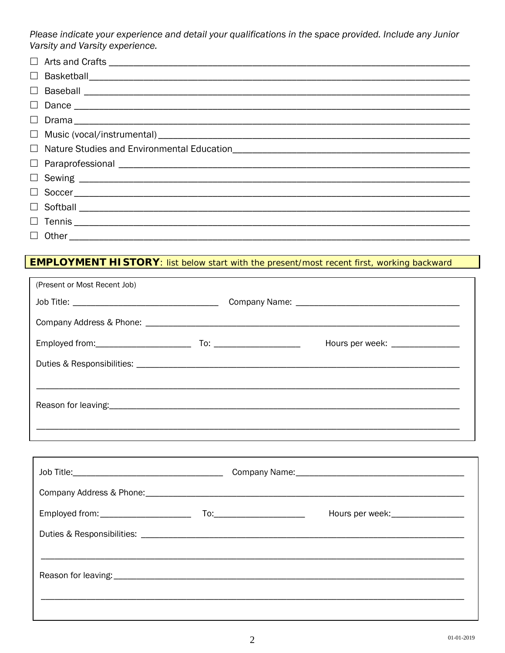Please indicate your experience and detail your qualifications in the space provided. Include any Junior Varsity and Varsity experience.

| $\Box$ Other |
|--------------|

## **EMPLOYMENT HISTORY:** list below start with the present/most recent first, working backward

| (Present or Most Recent Job) |  |                                                                                  |
|------------------------------|--|----------------------------------------------------------------------------------|
|                              |  |                                                                                  |
|                              |  |                                                                                  |
|                              |  | Hours per week: ________________                                                 |
|                              |  |                                                                                  |
|                              |  |                                                                                  |
|                              |  |                                                                                  |
|                              |  |                                                                                  |
|                              |  |                                                                                  |
|                              |  |                                                                                  |
|                              |  |                                                                                  |
|                              |  | Hours per week:_________________                                                 |
|                              |  |                                                                                  |
|                              |  |                                                                                  |
|                              |  |                                                                                  |
|                              |  | ,我们也不会有什么。""我们的人,我们也不会有什么?""我们的人,我们也不会有什么?""我们的人,我们也不会有什么?""我们的人,我们也不会有什么?""我们的人 |
|                              |  |                                                                                  |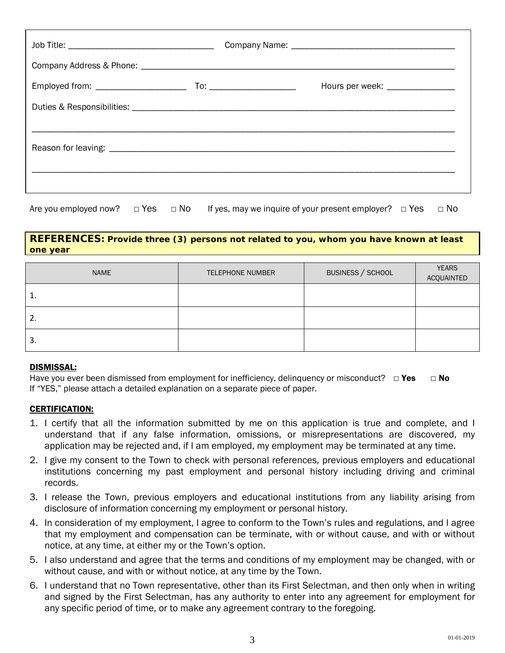|  | Hours per week: _________________ |
|--|-----------------------------------|
|  |                                   |
|  |                                   |
|  |                                   |
|  |                                   |
|  |                                   |

Are you employed now?  $\Box$  Yes  $\Box$  No If yes, may we inquire of your present employer?  $\Box$  Yes  $\Box$  No

#### **REFERENCES: Provide three (3) persons not related to you, whom you have known at least one year**

| <b>NAME</b> | <b>TELEPHONE NUMBER</b> | BUSINESS / SCHOOL | <b>YEARS</b><br>ACQUAINTED |
|-------------|-------------------------|-------------------|----------------------------|
| 1.          |                         |                   |                            |
| 2.          |                         |                   |                            |
| 3.          |                         |                   |                            |

#### DISMISSAL:

Have you ever been dismissed from employment for inefficiency, delinguency or misconduct?  $\Box$  Yes  $\Box$  No If "YES," please attach a detailed explanation on a separate piece of paper.

#### CERTIFICATION:

- 1. I certify that all the information submitted by me on this application is true and complete, and I understand that if any false information, omissions, or misrepresentations are discovered, my application may be rejected and, if I am employed, my employment may be terminated at any time.
- 2. I give my consent to the Town to check with personal references, previous employers and educational institutions concerning my past employment and personal history including driving and criminal records.
- 3. I release the Town, previous employers and educational institutions from any liability arising from disclosure of information concerning my employment or personal history.
- 4. In consideration of my employment, I agree to conform to the Town's rules and regulations, and I agree that my employment and compensation can be terminate, with or without cause, and with or without notice, at any time, at either my or the Town's option.
- 5. I also understand and agree that the terms and conditions of my employment may be changed, with or without cause, and with or without notice, at any time by the Town.
- 6. I understand that no Town representative, other than its First Selectman, and then only when in writing and signed by the First Selectman, has any authority to enter into any agreement for employment for any specific period of time, or to make any agreement contrary to the foregoing.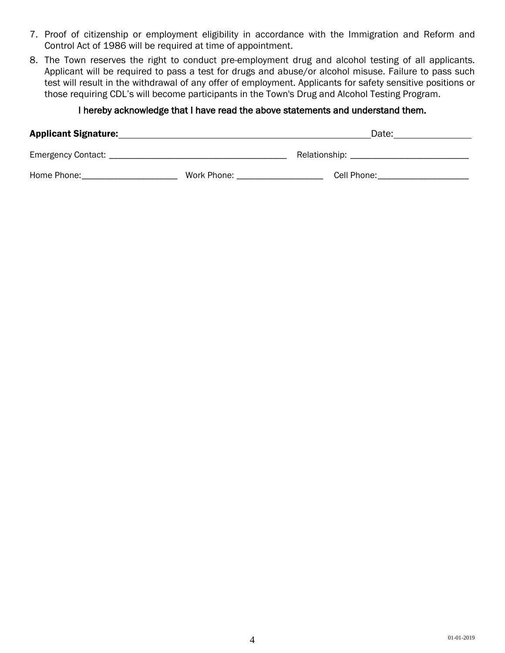- 7. Proof of citizenship or employment eligibility in accordance with the Immigration and Reform and Control Act of 1986 will be required at time of appointment.
- 8. The Town reserves the right to conduct pre-employment drug and alcohol testing of all applicants. Applicant will be required to pass a test for drugs and abuse/or alcohol misuse. Failure to pass such test will result in the withdrawal of any offer of employment. Applicants for safety sensitive positions or those requiring CDL's will become participants in the Town's Drug and Alcohol Testing Program.

## I hereby acknowledge that I have read the above statements and understand them.

| <b>Applicant Signature:</b> |             | Date:                               |
|-----------------------------|-------------|-------------------------------------|
| Emergency Contact: _        |             | Relationship: _____________________ |
| Home Phone:                 | Work Phone: | Cell Phone:                         |